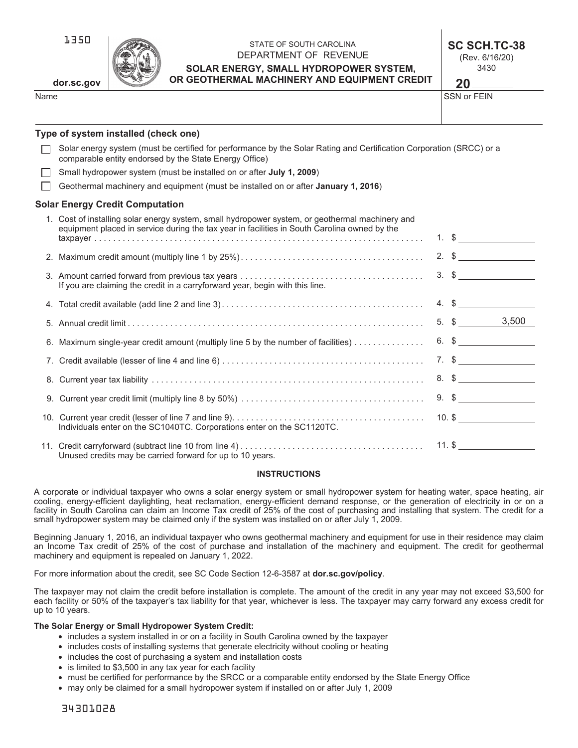1350

**dor.sc.gov**

## STATE OF SOUTH CAROLINA DEPARTMENT OF REVENUE **SOLAR ENERGY, SMALL HYDROPOWER SYSTEM, OR GEOTHERMAL MACHINERY AND EQUIPMENT CREDIT**

**SC SCH.TC-38**  (Rev. 6/16/20) 3430

Name States in the state of the state of the state of the state of the SSN or FEIN **20** \_\_\_\_<br>SSN or FEIN

# **Type of system installed (check one)**

| Type of system installed (check one)                                                                                                                                                            |                               |
|-------------------------------------------------------------------------------------------------------------------------------------------------------------------------------------------------|-------------------------------|
| Solar energy system (must be certified for performance by the Solar Rating and Certification Corporation (SRCC) or a<br>comparable entity endorsed by the State Energy Office)                  |                               |
| Small hydropower system (must be installed on or after July 1, 2009)                                                                                                                            |                               |
| Geothermal machinery and equipment (must be installed on or after <b>January 1, 2016</b> )                                                                                                      |                               |
| <b>Solar Energy Credit Computation</b>                                                                                                                                                          |                               |
| 1. Cost of installing solar energy system, small hydropower system, or geothermal machinery and<br>equipment placed in service during the tax year in facilities in South Carolina owned by the | 1. $\frac{1}{2}$              |
|                                                                                                                                                                                                 | $2.$ \$                       |
| If you are claiming the credit in a carryforward year, begin with this line.                                                                                                                    | $3. \$$                       |
|                                                                                                                                                                                                 | $4.$ \$                       |
|                                                                                                                                                                                                 | 5. $\frac{\sqrt{3}}{2}$ 3,500 |
| 6. Maximum single-year credit amount (multiply line 5 by the number of facilities)                                                                                                              | $6.$ $\frac{1}{2}$            |
|                                                                                                                                                                                                 | $7.$ \$                       |
|                                                                                                                                                                                                 | $8.$ \$                       |
|                                                                                                                                                                                                 | $9.$ $$$                      |
| Individuals enter on the SC1040TC. Corporations enter on the SC1120TC.                                                                                                                          | $10.$ \$                      |
| Unused credits may be carried forward for up to 10 years.                                                                                                                                       | $11.$ \$                      |

### **INSTRUCTIONS**

A corporate or individual taxpayer who owns a solar energy system or small hydropower system for heating water, space heating, air cooling, energy-efficient daylighting, heat reclamation, energy-efficient demand response, or the generation of electricity in or on a facility in South Carolina can claim an Income Tax credit of 25% of the cost of purchasing and installing that system. The credit for a small hydropower system may be claimed only if the system was installed on or after July 1, 2009.

Beginning January 1, 2016, an individual taxpayer who owns geothermal machinery and equipment for use in their residence may claim an Income Tax credit of 25% of the cost of purchase and installation of the machinery and equipment. The credit for geothermal machinery and equipment is repealed on January 1, 2022.

For more information about the credit, see SC Code Section 12-6-3587 at **dor.sc.gov/policy**.

The taxpayer may not claim the credit before installation is complete. The amount of the credit in any year may not exceed \$3,500 for each facility or 50% of the taxpayer's tax liability for that year, whichever is less. The taxpayer may carry forward any excess credit for up to 10 years.

### **The Solar Energy or Small Hydropower System Credit:**

- includes a system installed in or on a facility in South Carolina owned by the taxpayer
- includes costs of installing systems that generate electricity without cooling or heating
- includes the cost of purchasing a system and installation costs
- is limited to \$3,500 in any tax year for each facility
- must be certified for performance by the SRCC or a comparable entity endorsed by the State Energy Office
- may only be claimed for a small hydropower system if installed on or after July 1, 2009

34301028